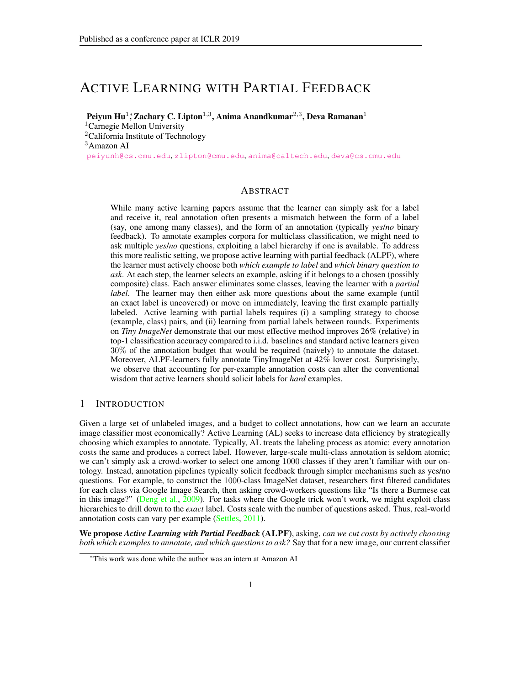# ACTIVE LEARNING WITH PARTIAL FEEDBACK

Peiyun Hu $^{1,*}$ Zachary C. Lipton $^{1,3},$  Anima Anandkumar $^{2,3},$  Deva Ramanan $^{1}$ 

<sup>1</sup>Carnegie Mellon University <sup>2</sup>California Institute of Technology <sup>3</sup>Amazon AI [peiyunh@cs.cmu.edu](mailto:peiyunh@cs.cmu.edu), [zlipton@cmu.edu](mailto:zlipton@cmu.edu), [anima@caltech.edu](mailto:anima@caltech.edu), [deva@cs.cmu.edu](mailto:deva@cs.cmu.edu)

# ABSTRACT

While many active learning papers assume that the learner can simply ask for a label and receive it, real annotation often presents a mismatch between the form of a label (say, one among many classes), and the form of an annotation (typically *yes*/*no* binary feedback). To annotate examples corpora for multiclass classification, we might need to ask multiple *yes*/*no* questions, exploiting a label hierarchy if one is available. To address this more realistic setting, we propose active learning with partial feedback (ALPF), where the learner must actively choose both *which example to label* and *which binary question to ask*. At each step, the learner selects an example, asking if it belongs to a chosen (possibly composite) class. Each answer eliminates some classes, leaving the learner with a *partial label*. The learner may then either ask more questions about the same example (until an exact label is uncovered) or move on immediately, leaving the first example partially labeled. Active learning with partial labels requires (i) a sampling strategy to choose (example, class) pairs, and (ii) learning from partial labels between rounds. Experiments on *Tiny ImageNet* demonstrate that our most effective method improves 26% (relative) in top-1 classification accuracy compared to i.i.d. baselines and standard active learners given 30% of the annotation budget that would be required (naively) to annotate the dataset. Moreover, ALPF-learners fully annotate TinyImageNet at 42% lower cost. Surprisingly, we observe that accounting for per-example annotation costs can alter the conventional wisdom that active learners should solicit labels for *hard* examples.

## 1 INTRODUCTION

Given a large set of unlabeled images, and a budget to collect annotations, how can we learn an accurate image classifier most economically? Active Learning (AL) seeks to increase data efficiency by strategically choosing which examples to annotate. Typically, AL treats the labeling process as atomic: every annotation costs the same and produces a correct label. However, large-scale multi-class annotation is seldom atomic; we can't simply ask a crowd-worker to select one among 1000 classes if they aren't familiar with our ontology. Instead, annotation pipelines typically solicit feedback through simpler mechanisms such as yes/no questions. For example, to construct the 1000-class ImageNet dataset, researchers first filtered candidates for each class via Google Image Search, then asking crowd-workers questions like "Is there a Burmese cat in this image?" [\(Deng et al.,](#page-9-0) [2009\)](#page-9-0). For tasks where the Google trick won't work, we might exploit class hierarchies to drill down to the *exact* label. Costs scale with the number of questions asked. Thus, real-world annotation costs can vary per example [\(Settles,](#page-10-0) [2011\)](#page-10-0).

We propose *Active Learning with Partial Feedback* (ALPF), asking, *can we cut costs by actively choosing both which examples to annotate, and which questions to ask?* Say that for a new image, our current classifier

<sup>∗</sup>This work was done while the author was an intern at Amazon AI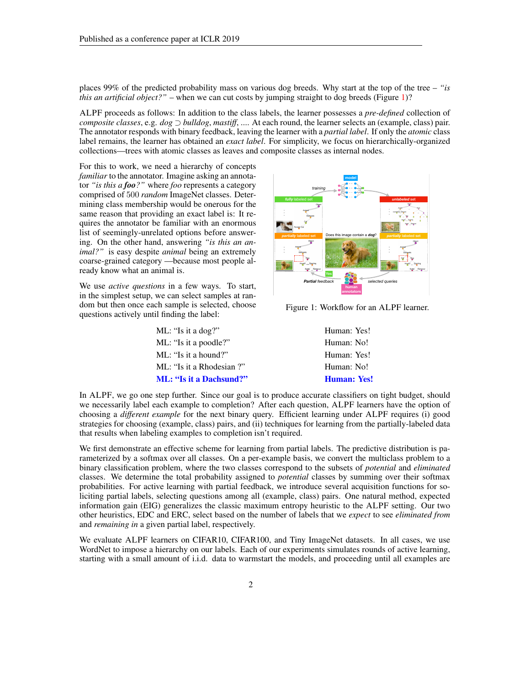places 99% of the predicted probability mass on various dog breeds. Why start at the top of the tree – *"is this an artificial object?*" – when we can cut costs by jumping straight to dog breeds (Figure [1\)](#page-1-0)?

ALPF proceeds as follows: In addition to the class labels, the learner possesses a *pre-defined* collection of *composite classes*, e.g. *dog* ⊃ *bulldog*, *mastiff*, .... At each round, the learner selects an (example, class) pair. The annotator responds with binary feedback, leaving the learner with a *partial label*. If only the *atomic* class label remains, the learner has obtained an *exact label*. For simplicity, we focus on hierarchically-organized collections—trees with atomic classes as leaves and composite classes as internal nodes.

For this to work, we need a hierarchy of concepts *familiar* to the annotator. Imagine asking an annotator *"is this a foo?"* where *foo* represents a category comprised of 500 *random* ImageNet classes. Determining class membership would be onerous for the same reason that providing an exact label is: It requires the annotator be familiar with an enormous list of seemingly-unrelated options before answering. On the other hand, answering *"is this an animal?"* is easy despite *animal* being an extremely coarse-grained category —because most people already know what an animal is.

We use *active questions* in a few ways. To start, in the simplest setup, we can select samples at random but then once each sample is selected, choose questions actively until finding the label:

<span id="page-1-0"></span>

Figure 1: Workflow for an ALPF learner.

| <b>ML: "Is it a Dachsund?"</b> | <b>Human: Yes!</b> |
|--------------------------------|--------------------|
| ML: "Is it a Rhodesian ?"      | Human: No!         |
| ML: "Is it a hound?"           | Human: Yes!        |
| ML: "Is it a poodle?"          | Human: No!         |
| ML: "Is it a dog?"             | Human: Yes!        |

In ALPF, we go one step further. Since our goal is to produce accurate classifiers on tight budget, should we necessarily label each example to completion? After each question, ALPF learners have the option of choosing a *different example* for the next binary query. Efficient learning under ALPF requires (i) good strategies for choosing (example, class) pairs, and (ii) techniques for learning from the partially-labeled data that results when labeling examples to completion isn't required.

We first demonstrate an effective scheme for learning from partial labels. The predictive distribution is parameterized by a softmax over all classes. On a per-example basis, we convert the multiclass problem to a binary classification problem, where the two classes correspond to the subsets of *potential* and *eliminated* classes. We determine the total probability assigned to *potential* classes by summing over their softmax probabilities. For active learning with partial feedback, we introduce several acquisition functions for soliciting partial labels, selecting questions among all (example, class) pairs. One natural method, expected information gain (EIG) generalizes the classic maximum entropy heuristic to the ALPF setting. Our two other heuristics, EDC and ERC, select based on the number of labels that we *expect* to see *eliminated from* and *remaining in* a given partial label, respectively.

We evaluate ALPF learners on CIFAR10, CIFAR100, and Tiny ImageNet datasets. In all cases, we use WordNet to impose a hierarchy on our labels. Each of our experiments simulates rounds of active learning, starting with a small amount of i.i.d. data to warmstart the models, and proceeding until all examples are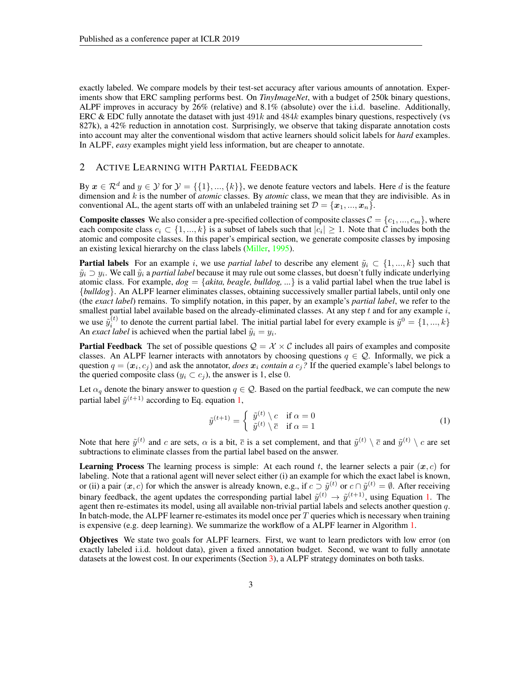exactly labeled. We compare models by their test-set accuracy after various amounts of annotation. Experiments show that ERC sampling performs best. On *TinyImageNet*, with a budget of 250k binary questions, ALPF improves in accuracy by 26% (relative) and 8.1% (absolute) over the i.i.d. baseline. Additionally, ERC & EDC fully annotate the dataset with just  $491k$  and  $484k$  examples binary questions, respectively (vs 827k), a 42% reduction in annotation cost. Surprisingly, we observe that taking disparate annotation costs into account may alter the conventional wisdom that active learners should solicit labels for *hard* examples. In ALPF, *easy* examples might yield less information, but are cheaper to annotate.

# 2 ACTIVE LEARNING WITH PARTIAL FEEDBACK

By  $x \in \mathcal{R}^d$  and  $y \in \mathcal{Y}$  for  $\mathcal{Y} = \{\{1\}, ..., \{k\}\}\$ , we denote feature vectors and labels. Here d is the feature dimension and k is the number of *atomic* classes. By *atomic* class, we mean that they are indivisible. As in conventional AL, the agent starts off with an unlabeled training set  $\mathcal{D} = \{x_1, ..., x_n\}$ .

**Composite classes** We also consider a pre-specified collection of composite classes  $C = \{c_1, ..., c_m\}$ , where each composite class  $c_i \in \{1, ..., k\}$  is a subset of labels such that  $|c_i| \geq 1$ . Note that C includes both the atomic and composite classes. In this paper's empirical section, we generate composite classes by imposing an existing lexical hierarchy on the class labels [\(Miller,](#page-9-1) [1995\)](#page-9-1).

**Partial labels** For an example i, we use *partial label* to describe any element  $\tilde{y}_i \subset \{1, ..., k\}$  such that  $\tilde{y}_i \supset y_i$ . We call  $\tilde{y}_i$  a *partial label* because it may rule out some classes, but doesn't fully indicate underlying atomic class. For example,  $dog = \{akita, beagle, bulldog, ...\}$  is a valid partial label when the true label is {*bulldog*}. An ALPF learner eliminates classes, obtaining successively smaller partial labels, until only one (the *exact label*) remains. To simplify notation, in this paper, by an example's *partial label*, we refer to the smallest partial label available based on the already-eliminated classes. At any step  $t$  and for any example  $i$ , we use  $\tilde{y}_i^{(t)}$  to denote the current partial label. The initial partial label for every example is  $\tilde{y}^0 = \{1, ..., k\}$ An *exact label* is achieved when the partial label  $\tilde{y}_i = y_i$ .

**Partial Feedback** The set of possible questions  $Q = \mathcal{X} \times \mathcal{C}$  includes all pairs of examples and composite classes. An ALPF learner interacts with annotators by choosing questions  $q \in \mathcal{Q}$ . Informally, we pick a question  $q = (x_i, c_j)$  and ask the annotator, *does*  $x_i$  *contain a*  $c_j$ ? If the queried example's label belongs to the queried composite class ( $y_i \subset c_j$ ), the answer is 1, else 0.

Let  $\alpha_q$  denote the binary answer to question  $q \in \mathcal{Q}$ . Based on the partial feedback, we can compute the new partial label  $\tilde{y}^{(t+1)}$  according to Eq. equation [1,](#page-2-0)

<span id="page-2-0"></span>
$$
\tilde{y}^{(t+1)} = \begin{cases} \tilde{y}^{(t)} \setminus c & \text{if } \alpha = 0\\ \tilde{y}^{(t)} \setminus \overline{c} & \text{if } \alpha = 1 \end{cases}
$$
\n(1)

Note that here  $\tilde{y}^{(t)}$  and c are sets,  $\alpha$  is a bit,  $\bar{c}$  is a set complement, and that  $\tilde{y}^{(t)} \setminus \bar{c}$  and  $\tilde{y}^{(t)} \setminus c$  are set subtractions to eliminate classes from the partial label based on the answer.

**Learning Process** The learning process is simple: At each round t, the learner selects a pair  $(x, c)$  for labeling. Note that a rational agent will never select either (i) an example for which the exact label is known, or (ii) a pair  $(x, c)$  for which the answer is already known, e.g., if  $c \supset \tilde{y}^{(t)}$  or  $c \cap \tilde{y}^{(t)} = \emptyset$ . After receiving binary feedback, the agent updates the corresponding partial label  $\tilde{y}^{(t)} \to \tilde{y}^{(t+1)}$ , using Equation [1.](#page-2-0) The agent then re-estimates its model, using all available non-trivial partial labels and selects another question  $q$ . In batch-mode, the ALPF learner re-estimates its model once per  $T$  queries which is necessary when training is expensive (e.g. deep learning). We summarize the workflow of a ALPF learner in Algorithm [1.](#page-3-0)

Objectives We state two goals for ALPF learners. First, we want to learn predictors with low error (on exactly labeled i.i.d. holdout data), given a fixed annotation budget. Second, we want to fully annotate datasets at the lowest cost. In our experiments (Section [3\)](#page-4-0), a ALPF strategy dominates on both tasks.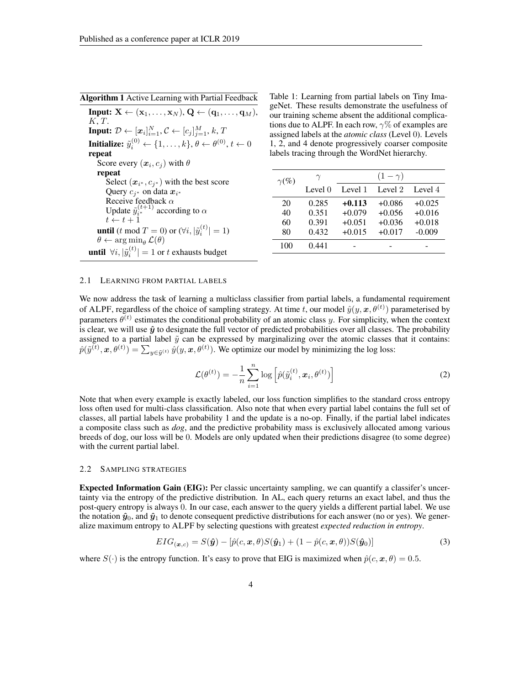<span id="page-3-0"></span>Algorithm 1 Active Learning with Partial Feedback

**Input:**  $X \leftarrow (\mathbf{x}_1, \ldots, \mathbf{x}_N), \mathbf{Q} \leftarrow (\mathbf{q}_1, \ldots, \mathbf{q}_M),$ K, T. Input:  $\mathcal{D} \leftarrow [x_i]_{i=1}^N, \mathcal{C} \leftarrow [c_j]_{j=1}^M, k, T$ Initialize:  $\tilde{y}^{(0)}_i \leftarrow \{1, \ldots, k\}, \theta \leftarrow \theta^{(0)}, t \leftarrow 0$ repeat Score every  $(x_i, c_j)$  with  $\theta$ repeat Select  $(x_{i^*}, c_{j^*})$  with the best score Query  $c_{j^*}$  on data  $x_{i^*}$ <br>Receive feedback  $\alpha$ Update  $\tilde{y}_{i^{*}}^{(t+1)}$  according to  $\alpha$  $t \leftarrow t + 1$ **until** (*t* mod  $T = 0$ ) or  $(\forall i, |\tilde{y}_i^{(t)}| = 1)$  $\theta \leftarrow \arg \min_{\theta} \mathcal{L}(\theta)$ **until**  $\forall i, |\tilde{y}_i^{(t)}| = 1$  or t exhausts budget

<span id="page-3-1"></span>Table 1: Learning from partial labels on Tiny ImageNet. These results demonstrate the usefulness of our training scheme absent the additional complications due to ALPF. In each row,  $\gamma\%$  of examples are assigned labels at the *atomic class* (Level 0). Levels 1, 2, and 4 denote progressively coarser composite labels tracing through the WordNet hierarchy.

| $\gamma(\%)$ | $\gamma$  | $(1-\gamma)$ |          |          |  |  |
|--------------|-----------|--------------|----------|----------|--|--|
|              | Level $0$ | Level 1      | Level 2  | Level 4  |  |  |
| 20           | 0.285     | $+0.113$     | $+0.086$ | $+0.025$ |  |  |
| 40           | 0.351     | $+0.079$     | $+0.056$ | $+0.016$ |  |  |
| 60           | 0.391     | $+0.051$     | $+0.036$ | $+0.018$ |  |  |
| 80           | 0.432     | $+0.015$     | $+0.017$ | $-0.009$ |  |  |
| 100          | 0.441     |              |          |          |  |  |

#### 2.1 LEARNING FROM PARTIAL LABELS

We now address the task of learning a multiclass classifier from partial labels, a fundamental requirement of ALPF, regardless of the choice of sampling strategy. At time t, our model  $\hat{y}(y, x, \theta^{(t)})$  parameterised by parameters  $\theta^{(t)}$  estimates the conditional probability of an atomic class y. For simplicity, when the context is clear, we will use  $\hat{y}$  to designate the full vector of predicted probabilities over all classes. The probability assigned to a partial label  $\tilde{y}$  can be expressed by marginalizing over the atomic classes that it contains:  $\hat{p}(\tilde{y}^{(t)}, \mathbf{x}, \theta^{(t)}) = \sum_{y \in \tilde{y}^{(t)}} \hat{y}(y, \mathbf{x}, \theta^{(t)})$ . We optimize our model by minimizing the log loss:

$$
\mathcal{L}(\theta^{(t)}) = -\frac{1}{n} \sum_{i=1}^{n} \log \left[ \hat{p}(\tilde{y}_i^{(t)}, \boldsymbol{x}_i, \theta^{(t)}) \right]
$$
(2)

Note that when every example is exactly labeled, our loss function simplifies to the standard cross entropy loss often used for multi-class classification. Also note that when every partial label contains the full set of classes, all partial labels have probability 1 and the update is a no-op. Finally, if the partial label indicates a composite class such as *dog*, and the predictive probability mass is exclusively allocated among various breeds of dog, our loss will be 0. Models are only updated when their predictions disagree (to some degree) with the current partial label.

#### 2.2 SAMPLING STRATEGIES

Expected Information Gain (EIG): Per classic uncertainty sampling, we can quantify a classifer's uncertainty via the entropy of the predictive distribution. In AL, each query returns an exact label, and thus the post-query entropy is always 0. In our case, each answer to the query yields a different partial label. We use the notation  $\hat{y}_0$ , and  $\hat{y}_1$  to denote consequent predictive distributions for each answer (no or yes). We generalize maximum entropy to ALPF by selecting questions with greatest *expected reduction in entropy*.

$$
EIG_{(\boldsymbol{x},c)} = S(\hat{\boldsymbol{y}}) - [\hat{p}(c,\boldsymbol{x},\theta)S(\hat{\boldsymbol{y}}_1) + (1-\hat{p}(c,\boldsymbol{x},\theta))S(\hat{\boldsymbol{y}}_0)]
$$
\n(3)

where  $S(\cdot)$  is the entropy function. It's easy to prove that EIG is maximized when  $\hat{p}(c, x, \theta) = 0.5$ .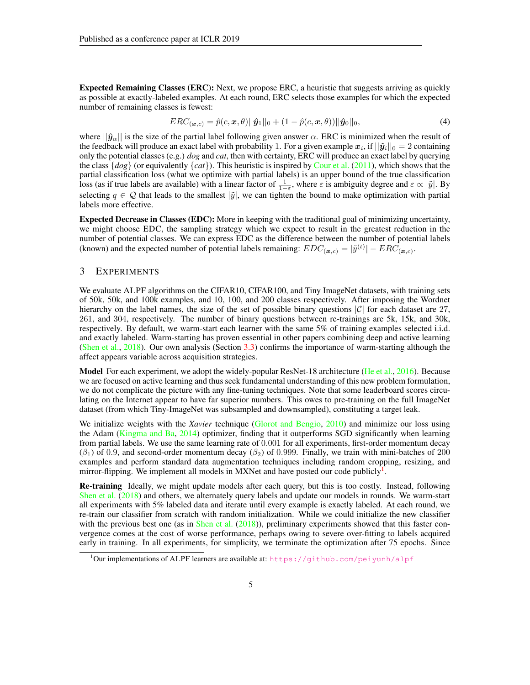Expected Remaining Classes (ERC): Next, we propose ERC, a heuristic that suggests arriving as quickly as possible at exactly-labeled examples. At each round, ERC selects those examples for which the expected number of remaining classes is fewest:

$$
ERC_{(\boldsymbol{x},c)} = \hat{p}(c,\boldsymbol{x},\theta)||\hat{\boldsymbol{y}}_1||_0 + (1-\hat{p}(c,\boldsymbol{x},\theta))||\hat{\boldsymbol{y}}_0||_0, \tag{4}
$$

where  $||\hat{\mathbf{y}}_{\alpha}||$  is the size of the partial label following given answer  $\alpha$ . ERC is minimized when the result of the feedback will produce an exact label with probability 1. For a given example  $x_i$ , if  $||\hat{y}_i||_0 = 2$  containing only the potential classes (e.g.) *dog* and *cat*, then with certainty, ERC will produce an exact label by querying the class  $\{dog\}$  (or equivalently  $\{cat\}$ ). This heuristic is inspired by [Cour et al.](#page-9-2) [\(2011\)](#page-9-2), which shows that the partial classification loss (what we optimize with partial labels) is an upper bound of the true classification loss (as if true labels are available) with a linear factor of  $\frac{1}{1-\varepsilon}$ , where  $\varepsilon$  is ambiguity degree and  $\varepsilon \propto |\tilde{y}|$ . By selecting  $q \in \mathcal{Q}$  that leads to the smallest  $|\tilde{y}|$ , we can tighten the bound to make optimization with partial labels more effective.

Expected Decrease in Classes (EDC): More in keeping with the traditional goal of minimizing uncertainty, we might choose EDC, the sampling strategy which we expect to result in the greatest reduction in the number of potential classes. We can express EDC as the difference between the number of potential labels (known) and the expected number of potential labels remaining:  $EDC_{(\mathbf{x},c)} = |\tilde{y}^{(t)}| - ERC_{(\mathbf{x},c)}$ .

### <span id="page-4-0"></span>3 EXPERIMENTS

We evaluate ALPF algorithms on the CIFAR10, CIFAR100, and Tiny ImageNet datasets, with training sets of 50k, 50k, and 100k examples, and 10, 100, and 200 classes respectively. After imposing the Wordnet hierarchy on the label names, the size of the set of possible binary questions  $|C|$  for each dataset are 27, 261, and 304, respectively. The number of binary questions between re-trainings are 5k, 15k, and 30k, respectively. By default, we warm-start each learner with the same 5% of training examples selected i.i.d. and exactly labeled. Warm-starting has proven essential in other papers combining deep and active learning [\(Shen et al.,](#page-10-1) [2018\)](#page-10-1). Our own analysis (Section [3.3\)](#page-6-0) confirms the importance of warm-starting although the affect appears variable across acquisition strategies.

Model For each experiment, we adopt the widely-popular ResNet-18 architecture [\(He et al.,](#page-9-3) [2016\)](#page-9-3). Because we are focused on active learning and thus seek fundamental understanding of this new problem formulation, we do not complicate the picture with any fine-tuning techniques. Note that some leaderboard scores circulating on the Internet appear to have far superior numbers. This owes to pre-training on the full ImageNet dataset (from which Tiny-ImageNet was subsampled and downsampled), constituting a target leak.

We initialize weights with the *Xavier* technique [\(Glorot and Bengio,](#page-9-4) [2010\)](#page-9-4) and minimize our loss using the Adam [\(Kingma and Ba,](#page-9-5) [2014\)](#page-9-5) optimizer, finding that it outperforms SGD significantly when learning from partial labels. We use the same learning rate of 0.001 for all experiments, first-order momentum decay  $(\beta_1)$  of 0.9, and second-order momentum decay  $(\beta_2)$  of 0.999. Finally, we train with mini-batches of 200 examples and perform standard data augmentation techniques including random cropping, resizing, and mirror-flipping. We implement all models in MXNet and have posted our code publicly<sup>[1](#page-4-1)</sup>.

**Re-training** Ideally, we might update models after each query, but this is too costly. Instead, following [Shen et al.](#page-10-1) [\(2018\)](#page-10-1) and others, we alternately query labels and update our models in rounds. We warm-start all experiments with 5% labeled data and iterate until every example is exactly labeled. At each round, we re-train our classifier from scratch with random initialization. While we could initialize the new classifier with the previous best one (as in [Shen et al.](#page-10-1)  $(2018)$ ), preliminary experiments showed that this faster convergence comes at the cost of worse performance, perhaps owing to severe over-fitting to labels acquired early in training. In all experiments, for simplicity, we terminate the optimization after 75 epochs. Since

<span id="page-4-1"></span><sup>&</sup>lt;sup>1</sup>Our implementations of ALPF learners are available at: <https://github.com/peiyunh/alpf>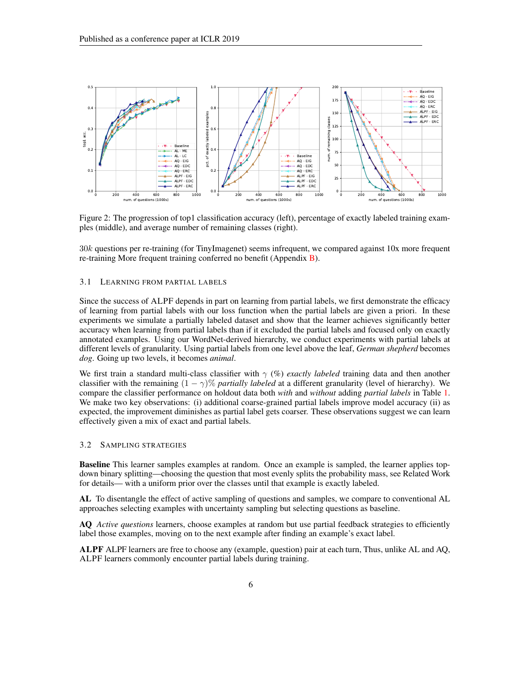

Figure 2: The progression of top1 classification accuracy (left), percentage of exactly labeled training examples (middle), and average number of remaining classes (right).

30k questions per re-training (for TinyImagenet) seems infrequent, we compared against 10x more frequent re-training More frequent training conferred no benefit (Appendix [B\)](#page-11-0).

#### 3.1 LEARNING FROM PARTIAL LABELS

Since the success of ALPF depends in part on learning from partial labels, we first demonstrate the efficacy of learning from partial labels with our loss function when the partial labels are given a priori. In these experiments we simulate a partially labeled dataset and show that the learner achieves significantly better accuracy when learning from partial labels than if it excluded the partial labels and focused only on exactly annotated examples. Using our WordNet-derived hierarchy, we conduct experiments with partial labels at different levels of granularity. Using partial labels from one level above the leaf, *German shepherd* becomes *dog*. Going up two levels, it becomes *animal*.

We first train a standard multi-class classifier with γ (%) *exactly labeled* training data and then another classifier with the remaining  $(1 - \gamma)$ % *partially labeled* at a different granularity (level of hierarchy). We compare the classifier performance on holdout data both *with* and *without* adding *partial labels* in Table [1.](#page-3-1) We make two key observations: (i) additional coarse-grained partial labels improve model accuracy (ii) as expected, the improvement diminishes as partial label gets coarser. These observations suggest we can learn effectively given a mix of exact and partial labels.

#### 3.2 SAMPLING STRATEGIES

Baseline This learner samples examples at random. Once an example is sampled, the learner applies topdown binary splitting—choosing the question that most evenly splits the probability mass, see Related Work for details— with a uniform prior over the classes until that example is exactly labeled.

AL To disentangle the effect of active sampling of questions and samples, we compare to conventional AL approaches selecting examples with uncertainty sampling but selecting questions as baseline.

AQ *Active questions* learners, choose examples at random but use partial feedback strategies to efficiently label those examples, moving on to the next example after finding an example's exact label.

ALPF ALPF learners are free to choose any (example, question) pair at each turn, Thus, unlike AL and AQ, ALPF learners commonly encounter partial labels during training.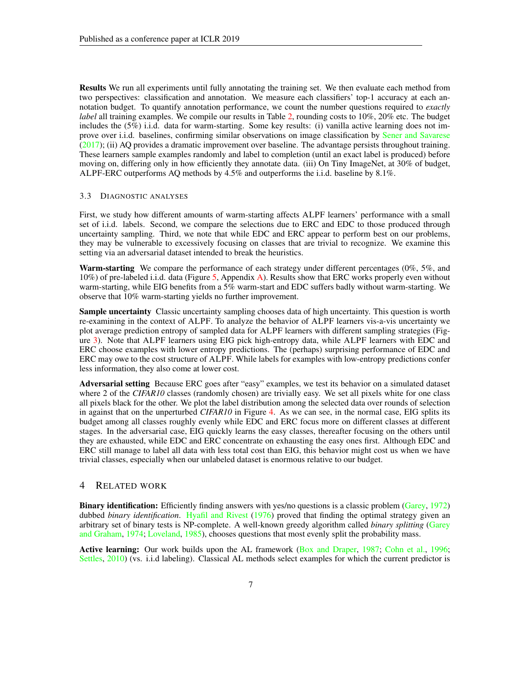Results We run all experiments until fully annotating the training set. We then evaluate each method from two perspectives: classification and annotation. We measure each classifiers' top-1 accuracy at each annotation budget. To quantify annotation performance, we count the number questions required to *exactly label* all training examples. We compile our results in Table [2,](#page-7-0) rounding costs to 10%, 20% etc. The budget includes the (5%) i.i.d. data for warm-starting. Some key results: (i) vanilla active learning does not im-prove over i.i.d. baselines, confirming similar observations on image classification by [Sener and Savarese](#page-10-2) [\(2017\)](#page-10-2); (ii) AQ provides a dramatic improvement over baseline. The advantage persists throughout training. These learners sample examples randomly and label to completion (until an exact label is produced) before moving on, differing only in how efficiently they annotate data. (iii) On Tiny ImageNet, at 30% of budget, ALPF-ERC outperforms AQ methods by 4.5% and outperforms the i.i.d. baseline by 8.1%.

#### <span id="page-6-0"></span>3.3 DIAGNOSTIC ANALYSES

First, we study how different amounts of warm-starting affects ALPF learners' performance with a small set of i.i.d. labels. Second, we compare the selections due to ERC and EDC to those produced through uncertainty sampling. Third, we note that while EDC and ERC appear to perform best on our problems, they may be vulnerable to excessively focusing on classes that are trivial to recognize. We examine this setting via an adversarial dataset intended to break the heuristics.

Warm-starting We compare the performance of each strategy under different percentages (0%, 5%, and 10%) of pre-labeled i.i.d. data (Figure [5,](#page-11-1) Appendix [A\)](#page-11-2). Results show that ERC works properly even without warm-starting, while EIG benefits from a 5% warm-start and EDC suffers badly without warm-starting. We observe that 10% warm-starting yields no further improvement.

**Sample uncertainty** Classic uncertainty sampling chooses data of high uncertainty. This question is worth re-examining in the context of ALPF. To analyze the behavior of ALPF learners vis-a-vis uncertainty we plot average prediction entropy of sampled data for ALPF learners with different sampling strategies (Figure [3\)](#page-8-0). Note that ALPF learners using EIG pick high-entropy data, while ALPF learners with EDC and ERC choose examples with lower entropy predictions. The (perhaps) surprising performance of EDC and ERC may owe to the cost structure of ALPF. While labels for examples with low-entropy predictions confer less information, they also come at lower cost.

Adversarial setting Because ERC goes after "easy" examples, we test its behavior on a simulated dataset where 2 of the *CIFAR10* classes (randomly chosen) are trivially easy. We set all pixels white for one class all pixels black for the other. We plot the label distribution among the selected data over rounds of selection in against that on the unperturbed *CIFAR10* in Figure [4.](#page-8-0) As we can see, in the normal case, EIG splits its budget among all classes roughly evenly while EDC and ERC focus more on different classes at different stages. In the adversarial case, EIG quickly learns the easy classes, thereafter focusing on the others until they are exhausted, while EDC and ERC concentrate on exhausting the easy ones first. Although EDC and ERC still manage to label all data with less total cost than EIG, this behavior might cost us when we have trivial classes, especially when our unlabeled dataset is enormous relative to our budget.

### 4 RELATED WORK

Binary identification: Efficiently finding answers with yes/no questions is a classic problem [\(Garey,](#page-9-6) [1972\)](#page-9-6) dubbed *binary identification*. [Hyafil and Rivest](#page-9-7) [\(1976\)](#page-9-7) proved that finding the optimal strategy given an arbitrary set of binary tests is NP-complete. A well-known greedy algorithm called *binary splitting* [\(Garey](#page-9-8) [and Graham,](#page-9-8) [1974;](#page-9-8) [Loveland,](#page-9-9) [1985\)](#page-9-9), chooses questions that most evenly split the probability mass.

Active learning: Our work builds upon the AL framework [\(Box and Draper,](#page-9-10) [1987;](#page-9-10) [Cohn et al.,](#page-9-11) [1996;](#page-9-11) [Settles,](#page-10-3) [2010\)](#page-10-3) (vs. i.i.d labeling). Classical AL methods select examples for which the current predictor is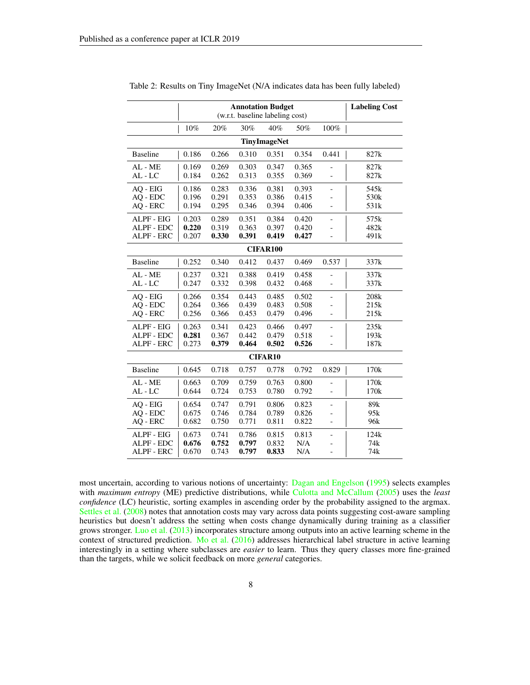|                     |       | <b>Labeling Cost</b> |       |                 |       |                          |                  |  |
|---------------------|-------|----------------------|-------|-----------------|-------|--------------------------|------------------|--|
|                     | 10%   | 20%                  | 30%   | 40%             | 50%   | 100%                     |                  |  |
| <b>TinyImageNet</b> |       |                      |       |                 |       |                          |                  |  |
| <b>Baseline</b>     | 0.186 | 0.266                | 0.310 | 0.351           | 0.354 | 0.441                    | 827k             |  |
| AL - ME             | 0.169 | 0.269                | 0.303 | 0.347           | 0.365 |                          | 827k             |  |
| AL - LC             | 0.184 | 0.262                | 0.313 | 0.355           | 0.369 |                          | 827k             |  |
| AQ - EIG            | 0.186 | 0.283                | 0.336 | 0.381           | 0.393 | $\overline{a}$           | 545k             |  |
| AQ - EDC            | 0.196 | 0.291                | 0.353 | 0.386           | 0.415 | $\overline{a}$           | 530 <sub>k</sub> |  |
| AO - ERC            | 0.194 | 0.295                | 0.346 | 0.394           | 0.406 | $\overline{a}$           | 531k             |  |
| ALPF - EIG          | 0.203 | 0.289                | 0.351 | 0.384           | 0.420 |                          | 575k             |  |
| ALPF - EDC          | 0.220 | 0.319                | 0.363 | 0.397           | 0.420 |                          | 482k             |  |
| ALPF - ERC          | 0.207 | 0.330                | 0.391 | 0.419           | 0.427 | $\frac{1}{2}$            | 491k             |  |
|                     |       |                      |       | <b>CIFAR100</b> |       |                          |                  |  |
| <b>Baseline</b>     | 0.252 | 0.340                | 0.412 | 0.437           | 0.469 | 0.537                    | 337k             |  |
| AL - ME             | 0.237 | 0.321                | 0.388 | 0.419           | 0.458 | $\overline{a}$           | 337k             |  |
| AL - LC             | 0.247 | 0.332                | 0.398 | 0.432           | 0.468 | $\frac{1}{2}$            | 337k             |  |
| AQ - EIG            | 0.266 | 0.354                | 0.443 | 0.485           | 0.502 | $\overline{\phantom{0}}$ | 208k             |  |
| AQ - EDC            | 0.264 | 0.366                | 0.439 | 0.483           | 0.508 |                          | 215k             |  |
| AQ - ERC            | 0.256 | 0.366                | 0.453 | 0.479           | 0.496 | $\overline{a}$           | 215k             |  |
| ALPF - EIG          | 0.263 | 0.341                | 0.423 | 0.466           | 0.497 | $\overline{\phantom{0}}$ | 235k             |  |
| ALPF - EDC          | 0.281 | 0.367                | 0.442 | 0.479           | 0.518 |                          | 193k             |  |
| <b>ALPF - ERC</b>   | 0.273 | 0.379                | 0.464 | 0.502           | 0.526 |                          | 187k             |  |
| <b>CIFAR10</b>      |       |                      |       |                 |       |                          |                  |  |
| <b>Baseline</b>     | 0.645 | 0.718                | 0.757 | 0.778           | 0.792 | 0.829                    | 170k             |  |
| AL - ME             | 0.663 | 0.709                | 0.759 | 0.763           | 0.800 |                          | 170k             |  |
| AL - LC             | 0.644 | 0.724                | 0.753 | 0.780           | 0.792 | $\overline{a}$           | 170k             |  |
| AQ - EIG            | 0.654 | 0.747                | 0.791 | 0.806           | 0.823 | $\frac{1}{2}$            | 89k              |  |
| AQ - EDC            | 0.675 | 0.746                | 0.784 | 0.789           | 0.826 | $\overline{a}$           | 95k              |  |
| AQ - ERC            | 0.682 | 0.750                | 0.771 | 0.811           | 0.822 | $\overline{\phantom{0}}$ | 96k              |  |
| ALPF - EIG          | 0.673 | 0.741                | 0.786 | 0.815           | 0.813 | $\overline{\phantom{0}}$ | 124k             |  |
| ALPF - EDC          | 0.676 | 0.752                | 0.797 | 0.832           | N/A   | $\overline{a}$           | 74k              |  |
| ALPF - ERC          | 0.670 | 0.743                | 0.797 | 0.833           | N/A   | $\frac{1}{2}$            | 74 <sub>k</sub>  |  |

<span id="page-7-0"></span>Table 2: Results on Tiny ImageNet (N/A indicates data has been fully labeled)

most uncertain, according to various notions of uncertainty: [Dagan and Engelson](#page-9-12) [\(1995\)](#page-9-12) selects examples with *maximum entropy* (ME) predictive distributions, while [Culotta and McCallum](#page-9-13) [\(2005\)](#page-9-13) uses the *least confidence* (LC) heuristic, sorting examples in ascending order by the probability assigned to the argmax. [Settles et al.](#page-10-4) [\(2008\)](#page-10-4) notes that annotation costs may vary across data points suggesting cost-aware sampling heuristics but doesn't address the setting when costs change dynamically during training as a classifier grows stronger. [Luo et al.](#page-9-14) [\(2013\)](#page-9-14) incorporates structure among outputs into an active learning scheme in the context of structured prediction. [Mo et al.](#page-10-5) [\(2016\)](#page-10-5) addresses hierarchical label structure in active learning interestingly in a setting where subclasses are *easier* to learn. Thus they query classes more fine-grained than the targets, while we solicit feedback on more *general* categories.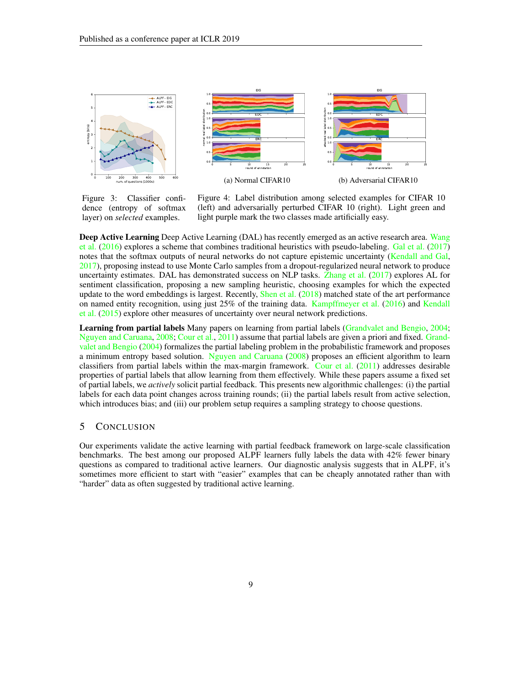<span id="page-8-0"></span>

Figure 3: Classifier confidence (entropy of softmax layer) on *selected* examples.

Figure 4: Label distribution among selected examples for CIFAR 10 (left) and adversarially perturbed CIFAR 10 (right). Light green and light purple mark the two classes made artificially easy.

Deep Active Learning Deep Active Learning (DAL) has recently emerged as an active research area. [Wang](#page-10-6) [et al.](#page-10-6) [\(2016\)](#page-10-6) explores a scheme that combines traditional heuristics with pseudo-labeling. [Gal et al.](#page-9-15) [\(2017\)](#page-9-15) notes that the softmax outputs of neural networks do not capture epistemic uncertainty [\(Kendall and Gal,](#page-9-16) [2017\)](#page-9-16), proposing instead to use Monte Carlo samples from a dropout-regularized neural network to produce uncertainty estimates. DAL has demonstrated success on NLP tasks. [Zhang et al.](#page-10-7) [\(2017\)](#page-10-7) explores AL for sentiment classification, proposing a new sampling heuristic, choosing examples for which the expected update to the word embeddings is largest. Recently, [Shen et al.](#page-10-1)  $(2018)$  matched state of the art performance on named entity recognition, using just 25% of the training data. [Kampffmeyer et al.](#page-9-17) [\(2016\)](#page-9-17) and [Kendall](#page-9-18) [et al.](#page-9-18) [\(2015\)](#page-9-18) explore other measures of uncertainty over neural network predictions.

Learning from partial labels Many papers on learning from partial labels [\(Grandvalet and Bengio,](#page-9-19) [2004;](#page-9-19) [Nguyen and Caruana,](#page-10-8) [2008;](#page-10-8) [Cour et al.,](#page-9-2) [2011\)](#page-9-2) assume that partial labels are given a priori and fixed. [Grand](#page-9-19)[valet and Bengio](#page-9-19) [\(2004\)](#page-9-19) formalizes the partial labeling problem in the probabilistic framework and proposes a minimum entropy based solution. [Nguyen and Caruana](#page-10-8) [\(2008\)](#page-10-8) proposes an efficient algorithm to learn classifiers from partial labels within the max-margin framework. [Cour et al.](#page-9-2) [\(2011\)](#page-9-2) addresses desirable properties of partial labels that allow learning from them effectively. While these papers assume a fixed set of partial labels, we *actively* solicit partial feedback. This presents new algorithmic challenges: (i) the partial labels for each data point changes across training rounds; (ii) the partial labels result from active selection, which introduces bias; and (iii) our problem setup requires a sampling strategy to choose questions.

### 5 CONCLUSION

Our experiments validate the active learning with partial feedback framework on large-scale classification benchmarks. The best among our proposed ALPF learners fully labels the data with 42% fewer binary questions as compared to traditional active learners. Our diagnostic analysis suggests that in ALPF, it's sometimes more efficient to start with "easier" examples that can be cheaply annotated rather than with "harder" data as often suggested by traditional active learning.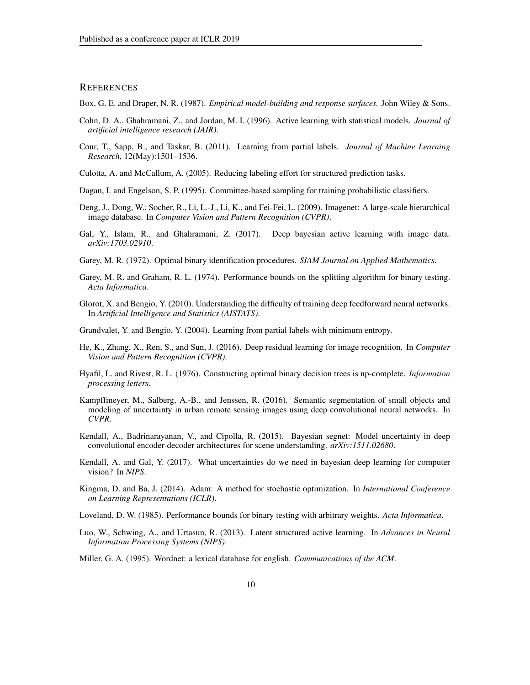### **REFERENCES**

<span id="page-9-10"></span>Box, G. E. and Draper, N. R. (1987). *Empirical model-building and response surfaces.* John Wiley & Sons.

- <span id="page-9-11"></span>Cohn, D. A., Ghahramani, Z., and Jordan, M. I. (1996). Active learning with statistical models. *Journal of artificial intelligence research (JAIR)*.
- <span id="page-9-2"></span>Cour, T., Sapp, B., and Taskar, B. (2011). Learning from partial labels. *Journal of Machine Learning Research*, 12(May):1501–1536.
- <span id="page-9-13"></span>Culotta, A. and McCallum, A. (2005). Reducing labeling effort for structured prediction tasks.

<span id="page-9-12"></span>Dagan, I. and Engelson, S. P. (1995). Committee-based sampling for training probabilistic classifiers.

- <span id="page-9-0"></span>Deng, J., Dong, W., Socher, R., Li, L.-J., Li, K., and Fei-Fei, L. (2009). Imagenet: A large-scale hierarchical image database. In *Computer Vision and Pattern Recognition (CVPR)*.
- <span id="page-9-15"></span>Gal, Y., Islam, R., and Ghahramani, Z. (2017). Deep bayesian active learning with image data. *arXiv:1703.02910*.
- <span id="page-9-6"></span>Garey, M. R. (1972). Optimal binary identification procedures. *SIAM Journal on Applied Mathematics*.
- <span id="page-9-8"></span>Garey, M. R. and Graham, R. L. (1974). Performance bounds on the splitting algorithm for binary testing. *Acta Informatica*.
- <span id="page-9-4"></span>Glorot, X. and Bengio, Y. (2010). Understanding the difficulty of training deep feedforward neural networks. In *Artificial Intelligence and Statistics (AISTATS)*.
- <span id="page-9-19"></span>Grandvalet, Y. and Bengio, Y. (2004). Learning from partial labels with minimum entropy.
- <span id="page-9-3"></span>He, K., Zhang, X., Ren, S., and Sun, J. (2016). Deep residual learning for image recognition. In *Computer Vision and Pattern Recognition (CVPR)*.
- <span id="page-9-7"></span>Hyafil, L. and Rivest, R. L. (1976). Constructing optimal binary decision trees is np-complete. *Information processing letters*.
- <span id="page-9-17"></span>Kampffmeyer, M., Salberg, A.-B., and Jenssen, R. (2016). Semantic segmentation of small objects and modeling of uncertainty in urban remote sensing images using deep convolutional neural networks. In *CVPR*.
- <span id="page-9-18"></span>Kendall, A., Badrinarayanan, V., and Cipolla, R. (2015). Bayesian segnet: Model uncertainty in deep convolutional encoder-decoder architectures for scene understanding. *arXiv:1511.02680*.
- <span id="page-9-16"></span>Kendall, A. and Gal, Y. (2017). What uncertainties do we need in bayesian deep learning for computer vision? In *NIPS*.
- <span id="page-9-5"></span>Kingma, D. and Ba, J. (2014). Adam: A method for stochastic optimization. In *International Conference on Learning Representations (ICLR)*.
- <span id="page-9-9"></span>Loveland, D. W. (1985). Performance bounds for binary testing with arbitrary weights. *Acta Informatica*.
- <span id="page-9-14"></span>Luo, W., Schwing, A., and Urtasun, R. (2013). Latent structured active learning. In *Advances in Neural Information Processing Systems (NIPS)*.
- <span id="page-9-1"></span>Miller, G. A. (1995). Wordnet: a lexical database for english. *Communications of the ACM*.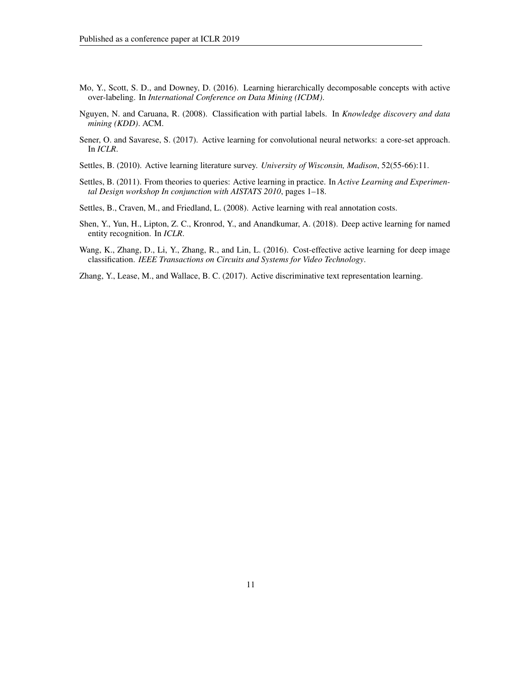- <span id="page-10-5"></span>Mo, Y., Scott, S. D., and Downey, D. (2016). Learning hierarchically decomposable concepts with active over-labeling. In *International Conference on Data Mining (ICDM)*.
- <span id="page-10-8"></span>Nguyen, N. and Caruana, R. (2008). Classification with partial labels. In *Knowledge discovery and data mining (KDD)*. ACM.
- <span id="page-10-2"></span>Sener, O. and Savarese, S. (2017). Active learning for convolutional neural networks: a core-set approach. In *ICLR*.
- <span id="page-10-3"></span>Settles, B. (2010). Active learning literature survey. *University of Wisconsin, Madison*, 52(55-66):11.
- <span id="page-10-0"></span>Settles, B. (2011). From theories to queries: Active learning in practice. In *Active Learning and Experimental Design workshop In conjunction with AISTATS 2010*, pages 1–18.
- <span id="page-10-4"></span>Settles, B., Craven, M., and Friedland, L. (2008). Active learning with real annotation costs.
- <span id="page-10-1"></span>Shen, Y., Yun, H., Lipton, Z. C., Kronrod, Y., and Anandkumar, A. (2018). Deep active learning for named entity recognition. In *ICLR*.
- <span id="page-10-6"></span>Wang, K., Zhang, D., Li, Y., Zhang, R., and Lin, L. (2016). Cost-effective active learning for deep image classification. *IEEE Transactions on Circuits and Systems for Video Technology*.
- <span id="page-10-7"></span>Zhang, Y., Lease, M., and Wallace, B. C. (2017). Active discriminative text representation learning.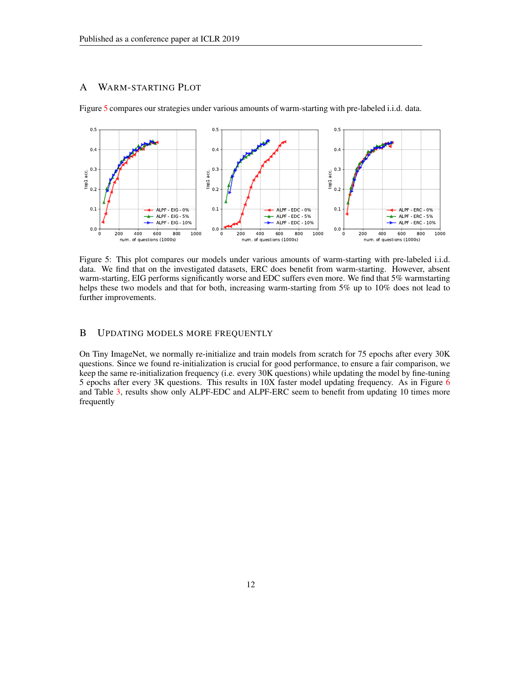# <span id="page-11-2"></span>A WARM-STARTING PLOT

<span id="page-11-1"></span>

Figure [5](#page-11-1) compares our strategies under various amounts of warm-starting with pre-labeled i.i.d. data.

Figure 5: This plot compares our models under various amounts of warm-starting with pre-labeled i.i.d. data. We find that on the investigated datasets, ERC does benefit from warm-starting. However, absent warm-starting, EIG performs significantly worse and EDC suffers even more. We find that 5% warmstarting helps these two models and that for both, increasing warm-starting from 5% up to 10% does not lead to further improvements.

# <span id="page-11-0"></span>B UPDATING MODELS MORE FREQUENTLY

On Tiny ImageNet, we normally re-initialize and train models from scratch for 75 epochs after every 30K questions. Since we found re-initialization is crucial for good performance, to ensure a fair comparison, we keep the same re-initialization frequency (i.e. every 30K questions) while updating the model by fine-tuning 5 epochs after every 3K questions. This results in 10X faster model updating frequency. As in Figure [6](#page-13-0) and Table [3,](#page-12-0) results show only ALPF-EDC and ALPF-ERC seem to benefit from updating 10 times more frequently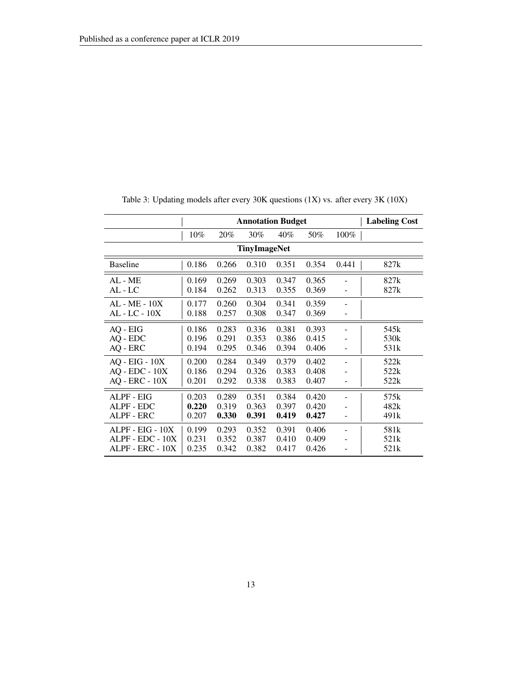<span id="page-12-0"></span>

|                                  | <b>Annotation Budget</b> |                |                |                |                |                              | <b>Labeling Cost</b> |
|----------------------------------|--------------------------|----------------|----------------|----------------|----------------|------------------------------|----------------------|
|                                  | 10%                      | 20%            | 30%            | 40%            | 50%            | 100%                         |                      |
| <b>TinyImageNet</b>              |                          |                |                |                |                |                              |                      |
| <b>Baseline</b>                  | 0.186                    | 0.266          | 0.310          | 0.351          | 0.354          | 0.441                        | 827k                 |
| AL - ME                          | 0.169                    | 0.269          | 0.303          | 0.347          | 0.365          | $\qquad \qquad \blacksquare$ | 827k                 |
| AL - LC                          | 0.184                    | 0.262          | 0.313          | 0.355          | 0.369          |                              | 827k                 |
| $AL - ME - 10X$<br>AL - LC - 10X | 0.177<br>0.188           | 0.260<br>0.257 | 0.304<br>0.308 | 0.341<br>0.347 | 0.359<br>0.369 |                              |                      |
| AQ - EIG                         | 0.186                    | 0.283          | 0.336          | 0.381          | 0.393          | $\qquad \qquad \blacksquare$ | 545k                 |
| AQ - EDC                         | 0.196                    | 0.291          | 0.353          | 0.386          | 0.415          |                              | 530k                 |
| AQ - ERC                         | 0.194                    | 0.295          | 0.346          | 0.394          | 0.406          |                              | 531k                 |
| $AQ - EIG - 10X$                 | 0.200                    | 0.284          | 0.349          | 0.379          | 0.402          |                              | 522k                 |
| $AO$ - $EDC$ - $10X$             | 0.186                    | 0.294          | 0.326          | 0.383          | 0.408          |                              | 522k                 |
| $AQ$ - $ERC - 10X$               | 0.201                    | 0.292          | 0.338          | 0.383          | 0.407          |                              | 522k                 |
| ALPF - EIG                       | 0.203                    | 0.289          | 0.351          | 0.384          | 0.420          |                              | 575k                 |
| ALPF - EDC                       | 0.220                    | 0.319          | 0.363          | 0.397          | 0.420          |                              | 482k                 |
| ALPF - ERC                       | 0.207                    | 0.330          | 0.391          | 0.419          | 0.427          |                              | 491k                 |
| ALPF - EIG - 10X                 | 0.199                    | 0.293          | 0.352          | 0.391          | 0.406          |                              | 581k                 |
| ALPF - EDC - 10X                 | 0.231                    | 0.352          | 0.387          | 0.410          | 0.409          |                              | 521k                 |
| ALPF - ERC - 10X                 | 0.235                    | 0.342          | 0.382          | 0.417          | 0.426          |                              | 521k                 |

Table 3: Updating models after every 30K questions (1X) vs. after every 3K (10X)